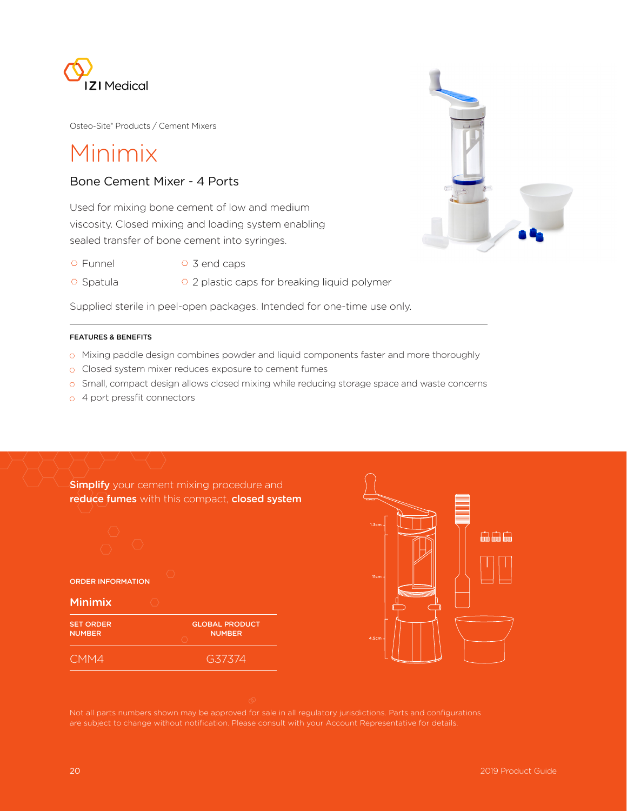

Osteo-Site® Products / Cement Mixers

# Minimix

## Bone Cement Mixer - 4 Ports

Used for mixing bone cement of low and medium viscosity. Closed mixing and loading system enabling sealed transfer of bone cement into syringes.

- 
- $\circ$  Funnel  $\circ$  3 end caps
- $\circ$  Spatula  $\circ$  2 plastic caps for breaking liquid polymer

Supplied sterile in peel-open packages. Intended for one-time use only.

### FEATURES & BENEFITS

- o Mixing paddle design combines powder and liquid components faster and more thoroughly
- Closed system mixer reduces exposure to cement fumes
- $\circ$  Small, compact design allows closed mixing while reducing storage space and waste concerns
- o 4 port pressfit connectors

**Simplify** your cement mixing procedure and reduce fumes with this compact, closed system



ORDER INFORMATION

### Minimix

| <b>SET ORDER</b> | <b>GLOBAL PRODUCT</b> |
|------------------|-----------------------|
| <b>NUMBER</b>    | <b>NUMBER</b>         |
| CMM4             | G37374                |